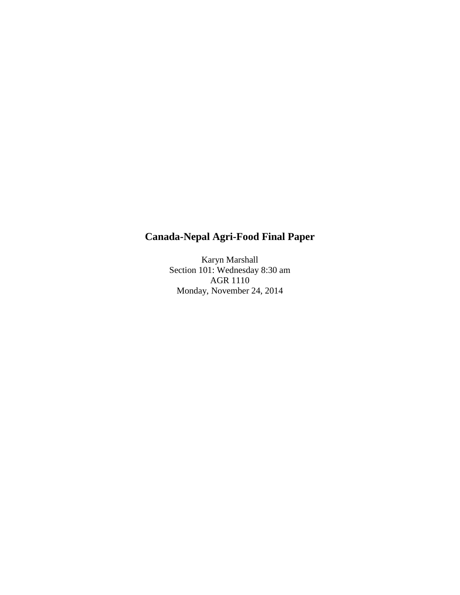# **Canada-Nepal Agri-Food Final Paper**

Karyn Marshall Section 101: Wednesday 8:30 am AGR 1110 Monday, November 24, 2014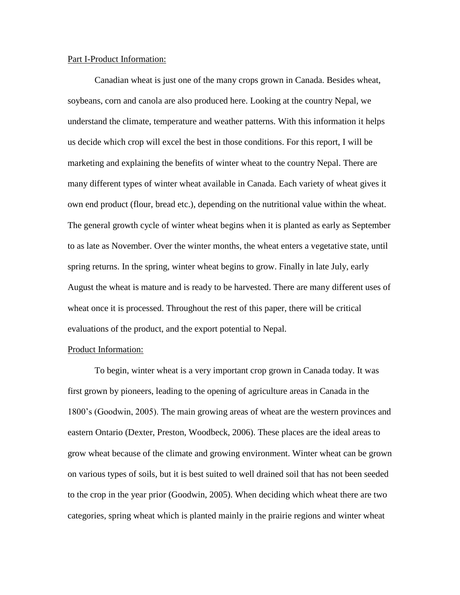## Part I-Product Information:

Canadian wheat is just one of the many crops grown in Canada. Besides wheat, soybeans, corn and canola are also produced here. Looking at the country Nepal, we understand the climate, temperature and weather patterns. With this information it helps us decide which crop will excel the best in those conditions. For this report, I will be marketing and explaining the benefits of winter wheat to the country Nepal. There are many different types of winter wheat available in Canada. Each variety of wheat gives it own end product (flour, bread etc.), depending on the nutritional value within the wheat. The general growth cycle of winter wheat begins when it is planted as early as September to as late as November. Over the winter months, the wheat enters a vegetative state, until spring returns. In the spring, winter wheat begins to grow. Finally in late July, early August the wheat is mature and is ready to be harvested. There are many different uses of wheat once it is processed. Throughout the rest of this paper, there will be critical evaluations of the product, and the export potential to Nepal.

# Product Information:

To begin, winter wheat is a very important crop grown in Canada today. It was first grown by pioneers, leading to the opening of agriculture areas in Canada in the 1800's (Goodwin, 2005). The main growing areas of wheat are the western provinces and eastern Ontario (Dexter, Preston, Woodbeck, 2006). These places are the ideal areas to grow wheat because of the climate and growing environment. Winter wheat can be grown on various types of soils, but it is best suited to well drained soil that has not been seeded to the crop in the year prior (Goodwin, 2005). When deciding which wheat there are two categories, spring wheat which is planted mainly in the prairie regions and winter wheat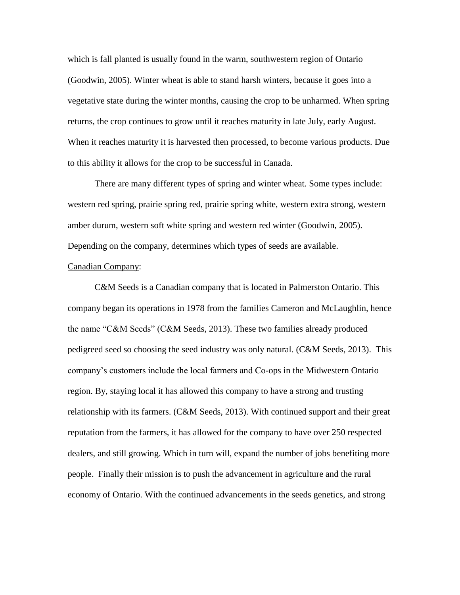which is fall planted is usually found in the warm, southwestern region of Ontario (Goodwin, 2005). Winter wheat is able to stand harsh winters, because it goes into a vegetative state during the winter months, causing the crop to be unharmed. When spring returns, the crop continues to grow until it reaches maturity in late July, early August. When it reaches maturity it is harvested then processed, to become various products. Due to this ability it allows for the crop to be successful in Canada.

There are many different types of spring and winter wheat. Some types include: western red spring, prairie spring red, prairie spring white, western extra strong, western amber durum, western soft white spring and western red winter (Goodwin, 2005). Depending on the company, determines which types of seeds are available.

#### Canadian Company:

C&M Seeds is a Canadian company that is located in Palmerston Ontario. This company began its operations in 1978 from the families Cameron and McLaughlin, hence the name "C&M Seeds" (C&M Seeds, 2013). These two families already produced pedigreed seed so choosing the seed industry was only natural. (C&M Seeds, 2013). This company's customers include the local farmers and Co-ops in the Midwestern Ontario region. By, staying local it has allowed this company to have a strong and trusting relationship with its farmers. (C&M Seeds, 2013). With continued support and their great reputation from the farmers, it has allowed for the company to have over 250 respected dealers, and still growing. Which in turn will, expand the number of jobs benefiting more people. Finally their mission is to push the advancement in agriculture and the rural economy of Ontario. With the continued advancements in the seeds genetics, and strong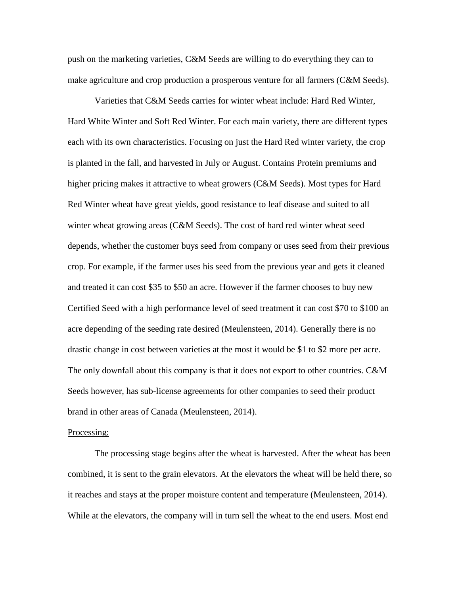push on the marketing varieties, C&M Seeds are willing to do everything they can to make agriculture and crop production a prosperous venture for all farmers (C&M Seeds).

Varieties that C&M Seeds carries for winter wheat include: Hard Red Winter, Hard White Winter and Soft Red Winter. For each main variety, there are different types each with its own characteristics. Focusing on just the Hard Red winter variety, the crop is planted in the fall, and harvested in July or August. Contains Protein premiums and higher pricing makes it attractive to wheat growers (C&M Seeds). Most types for Hard Red Winter wheat have great yields, good resistance to leaf disease and suited to all winter wheat growing areas (C&M Seeds). The cost of hard red winter wheat seed depends, whether the customer buys seed from company or uses seed from their previous crop. For example, if the farmer uses his seed from the previous year and gets it cleaned and treated it can cost \$35 to \$50 an acre. However if the farmer chooses to buy new Certified Seed with a high performance level of seed treatment it can cost \$70 to \$100 an acre depending of the seeding rate desired (Meulensteen, 2014). Generally there is no drastic change in cost between varieties at the most it would be \$1 to \$2 more per acre. The only downfall about this company is that it does not export to other countries. C&M Seeds however, has sub-license agreements for other companies to seed their product brand in other areas of Canada (Meulensteen, 2014).

# Processing:

The processing stage begins after the wheat is harvested. After the wheat has been combined, it is sent to the grain elevators. At the elevators the wheat will be held there, so it reaches and stays at the proper moisture content and temperature (Meulensteen, 2014). While at the elevators, the company will in turn sell the wheat to the end users. Most end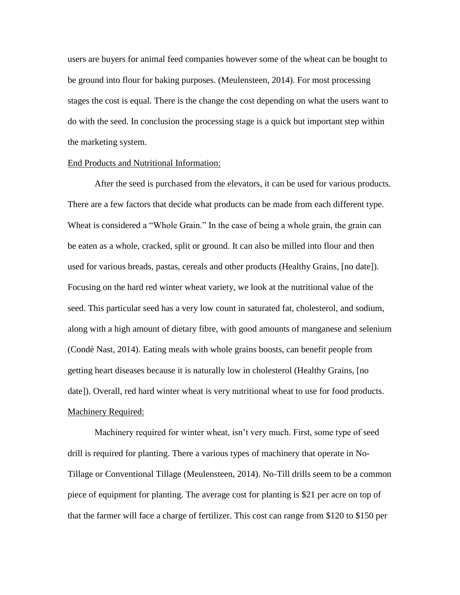users are buyers for animal feed companies however some of the wheat can be bought to be ground into flour for baking purposes. (Meulensteen, 2014). For most processing stages the cost is equal. There is the change the cost depending on what the users want to do with the seed. In conclusion the processing stage is a quick but important step within the marketing system.

## End Products and Nutritional Information:

After the seed is purchased from the elevators, it can be used for various products. There are a few factors that decide what products can be made from each different type. Wheat is considered a "Whole Grain." In the case of being a whole grain, the grain can be eaten as a whole, cracked, split or ground. It can also be milled into flour and then used for various breads, pastas, cereals and other products (Healthy Grains, [no date]). Focusing on the hard red winter wheat variety, we look at the nutritional value of the seed. This particular seed has a very low count in saturated fat, cholesterol, and sodium, along with a high amount of dietary fibre, with good amounts of manganese and selenium (Condè Nast, 2014). Eating meals with whole grains boosts, can benefit people from getting heart diseases because it is naturally low in cholesterol (Healthy Grains, [no date]). Overall, red hard winter wheat is very nutritional wheat to use for food products. Machinery Required:

Machinery required for winter wheat, isn't very much. First, some type of seed drill is required for planting. There a various types of machinery that operate in No-Tillage or Conventional Tillage (Meulensteen, 2014). No-Till drills seem to be a common piece of equipment for planting. The average cost for planting is \$21 per acre on top of that the farmer will face a charge of fertilizer. This cost can range from \$120 to \$150 per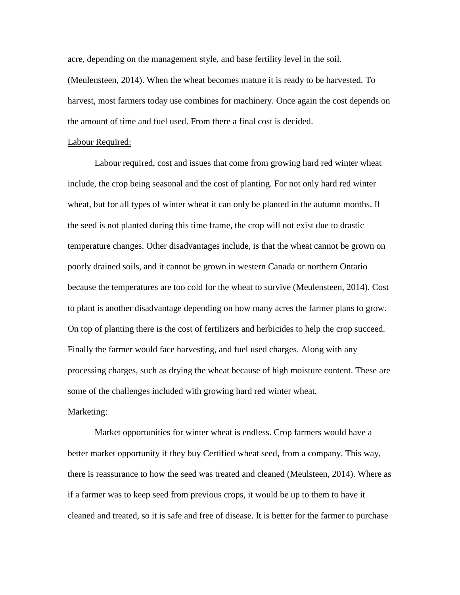acre, depending on the management style, and base fertility level in the soil. (Meulensteen, 2014). When the wheat becomes mature it is ready to be harvested. To harvest, most farmers today use combines for machinery. Once again the cost depends on the amount of time and fuel used. From there a final cost is decided.

## Labour Required:

Labour required, cost and issues that come from growing hard red winter wheat include, the crop being seasonal and the cost of planting. For not only hard red winter wheat, but for all types of winter wheat it can only be planted in the autumn months. If the seed is not planted during this time frame, the crop will not exist due to drastic temperature changes. Other disadvantages include, is that the wheat cannot be grown on poorly drained soils, and it cannot be grown in western Canada or northern Ontario because the temperatures are too cold for the wheat to survive (Meulensteen, 2014). Cost to plant is another disadvantage depending on how many acres the farmer plans to grow. On top of planting there is the cost of fertilizers and herbicides to help the crop succeed. Finally the farmer would face harvesting, and fuel used charges. Along with any processing charges, such as drying the wheat because of high moisture content. These are some of the challenges included with growing hard red winter wheat.

# Marketing:

Market opportunities for winter wheat is endless. Crop farmers would have a better market opportunity if they buy Certified wheat seed, from a company. This way, there is reassurance to how the seed was treated and cleaned (Meulsteen, 2014). Where as if a farmer was to keep seed from previous crops, it would be up to them to have it cleaned and treated, so it is safe and free of disease. It is better for the farmer to purchase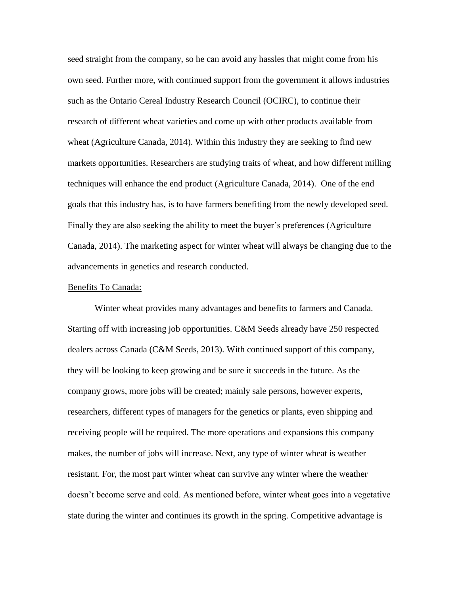seed straight from the company, so he can avoid any hassles that might come from his own seed. Further more, with continued support from the government it allows industries such as the Ontario Cereal Industry Research Council (OCIRC), to continue their research of different wheat varieties and come up with other products available from wheat (Agriculture Canada, 2014). Within this industry they are seeking to find new markets opportunities. Researchers are studying traits of wheat, and how different milling techniques will enhance the end product (Agriculture Canada, 2014). One of the end goals that this industry has, is to have farmers benefiting from the newly developed seed. Finally they are also seeking the ability to meet the buyer's preferences (Agriculture Canada, 2014). The marketing aspect for winter wheat will always be changing due to the advancements in genetics and research conducted.

## Benefits To Canada:

Winter wheat provides many advantages and benefits to farmers and Canada. Starting off with increasing job opportunities. C&M Seeds already have 250 respected dealers across Canada (C&M Seeds, 2013). With continued support of this company, they will be looking to keep growing and be sure it succeeds in the future. As the company grows, more jobs will be created; mainly sale persons, however experts, researchers, different types of managers for the genetics or plants, even shipping and receiving people will be required. The more operations and expansions this company makes, the number of jobs will increase. Next, any type of winter wheat is weather resistant. For, the most part winter wheat can survive any winter where the weather doesn't become serve and cold. As mentioned before, winter wheat goes into a vegetative state during the winter and continues its growth in the spring. Competitive advantage is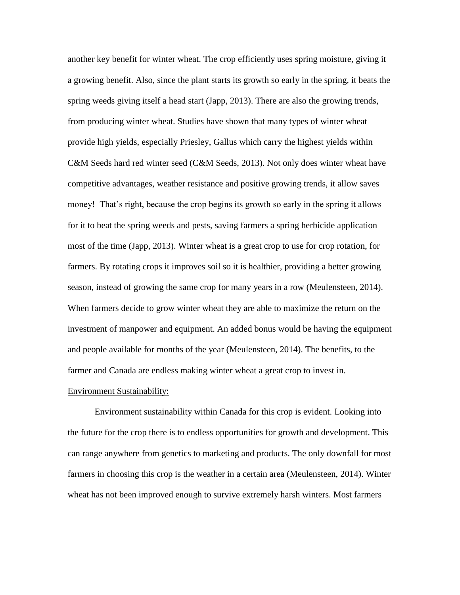another key benefit for winter wheat. The crop efficiently uses spring moisture, giving it a growing benefit. Also, since the plant starts its growth so early in the spring, it beats the spring weeds giving itself a head start (Japp, 2013). There are also the growing trends, from producing winter wheat. Studies have shown that many types of winter wheat provide high yields, especially Priesley, Gallus which carry the highest yields within C&M Seeds hard red winter seed (C&M Seeds, 2013). Not only does winter wheat have competitive advantages, weather resistance and positive growing trends, it allow saves money! That's right, because the crop begins its growth so early in the spring it allows for it to beat the spring weeds and pests, saving farmers a spring herbicide application most of the time (Japp, 2013). Winter wheat is a great crop to use for crop rotation, for farmers. By rotating crops it improves soil so it is healthier, providing a better growing season, instead of growing the same crop for many years in a row (Meulensteen, 2014). When farmers decide to grow winter wheat they are able to maximize the return on the investment of manpower and equipment. An added bonus would be having the equipment and people available for months of the year (Meulensteen, 2014). The benefits, to the farmer and Canada are endless making winter wheat a great crop to invest in.

# Environment Sustainability:

Environment sustainability within Canada for this crop is evident. Looking into the future for the crop there is to endless opportunities for growth and development. This can range anywhere from genetics to marketing and products. The only downfall for most farmers in choosing this crop is the weather in a certain area (Meulensteen, 2014). Winter wheat has not been improved enough to survive extremely harsh winters. Most farmers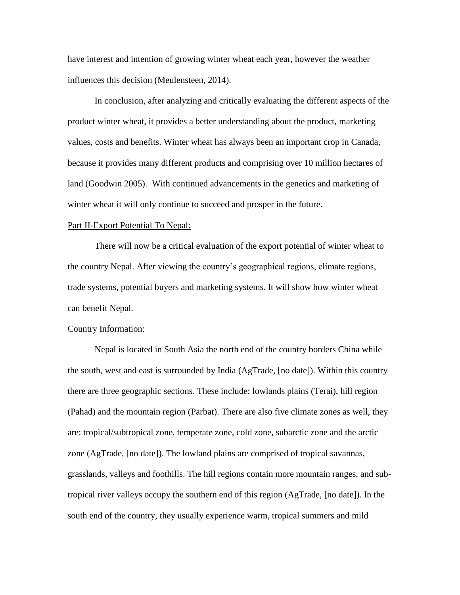have interest and intention of growing winter wheat each year, however the weather influences this decision (Meulensteen, 2014).

In conclusion, after analyzing and critically evaluating the different aspects of the product winter wheat, it provides a better understanding about the product, marketing values, costs and benefits. Winter wheat has always been an important crop in Canada, because it provides many different products and comprising over 10 million hectares of land (Goodwin 2005). With continued advancements in the genetics and marketing of winter wheat it will only continue to succeed and prosper in the future.

# Part II-Export Potential To Nepal:

There will now be a critical evaluation of the export potential of winter wheat to the country Nepal. After viewing the country's geographical regions, climate regions, trade systems, potential buyers and marketing systems. It will show how winter wheat can benefit Nepal.

## Country Information:

Nepal is located in South Asia the north end of the country borders China while the south, west and east is surrounded by India (AgTrade, [no date]). Within this country there are three geographic sections. These include: lowlands plains (Terai), hill region (Pahad) and the mountain region (Parbat). There are also five climate zones as well, they are: tropical/subtropical zone, temperate zone, cold zone, subarctic zone and the arctic zone (AgTrade, [no date]). The lowland plains are comprised of tropical savannas, grasslands, valleys and foothills. The hill regions contain more mountain ranges, and subtropical river valleys occupy the southern end of this region (AgTrade, [no date]). In the south end of the country, they usually experience warm, tropical summers and mild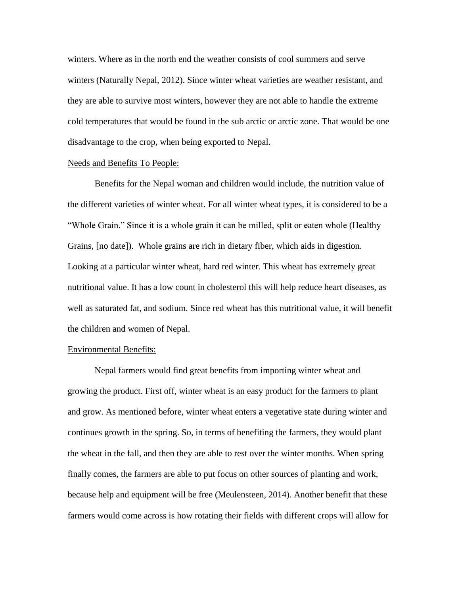winters. Where as in the north end the weather consists of cool summers and serve winters (Naturally Nepal, 2012). Since winter wheat varieties are weather resistant, and they are able to survive most winters, however they are not able to handle the extreme cold temperatures that would be found in the sub arctic or arctic zone. That would be one disadvantage to the crop, when being exported to Nepal.

## Needs and Benefits To People:

Benefits for the Nepal woman and children would include, the nutrition value of the different varieties of winter wheat. For all winter wheat types, it is considered to be a "Whole Grain." Since it is a whole grain it can be milled, split or eaten whole (Healthy Grains, [no date]). Whole grains are rich in dietary fiber, which aids in digestion. Looking at a particular winter wheat, hard red winter. This wheat has extremely great nutritional value. It has a low count in cholesterol this will help reduce heart diseases, as well as saturated fat, and sodium. Since red wheat has this nutritional value, it will benefit the children and women of Nepal.

# Environmental Benefits:

Nepal farmers would find great benefits from importing winter wheat and growing the product. First off, winter wheat is an easy product for the farmers to plant and grow. As mentioned before, winter wheat enters a vegetative state during winter and continues growth in the spring. So, in terms of benefiting the farmers, they would plant the wheat in the fall, and then they are able to rest over the winter months. When spring finally comes, the farmers are able to put focus on other sources of planting and work, because help and equipment will be free (Meulensteen, 2014). Another benefit that these farmers would come across is how rotating their fields with different crops will allow for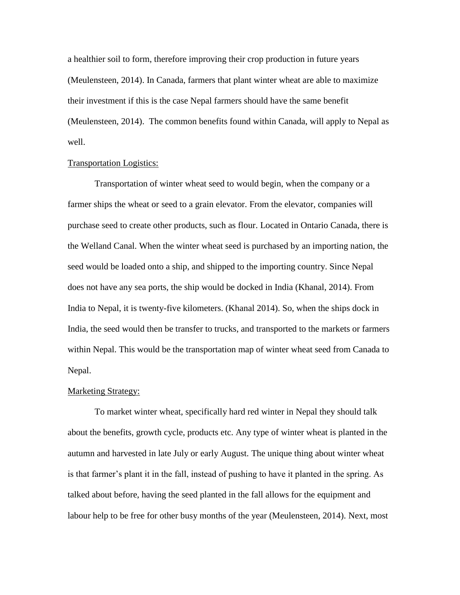a healthier soil to form, therefore improving their crop production in future years (Meulensteen, 2014). In Canada, farmers that plant winter wheat are able to maximize their investment if this is the case Nepal farmers should have the same benefit (Meulensteen, 2014). The common benefits found within Canada, will apply to Nepal as well.

# Transportation Logistics:

Transportation of winter wheat seed to would begin, when the company or a farmer ships the wheat or seed to a grain elevator. From the elevator, companies will purchase seed to create other products, such as flour. Located in Ontario Canada, there is the Welland Canal. When the winter wheat seed is purchased by an importing nation, the seed would be loaded onto a ship, and shipped to the importing country. Since Nepal does not have any sea ports, the ship would be docked in India (Khanal, 2014). From India to Nepal, it is twenty-five kilometers. (Khanal 2014). So, when the ships dock in India, the seed would then be transfer to trucks, and transported to the markets or farmers within Nepal. This would be the transportation map of winter wheat seed from Canada to Nepal.

# Marketing Strategy:

To market winter wheat, specifically hard red winter in Nepal they should talk about the benefits, growth cycle, products etc. Any type of winter wheat is planted in the autumn and harvested in late July or early August. The unique thing about winter wheat is that farmer's plant it in the fall, instead of pushing to have it planted in the spring. As talked about before, having the seed planted in the fall allows for the equipment and labour help to be free for other busy months of the year (Meulensteen, 2014). Next, most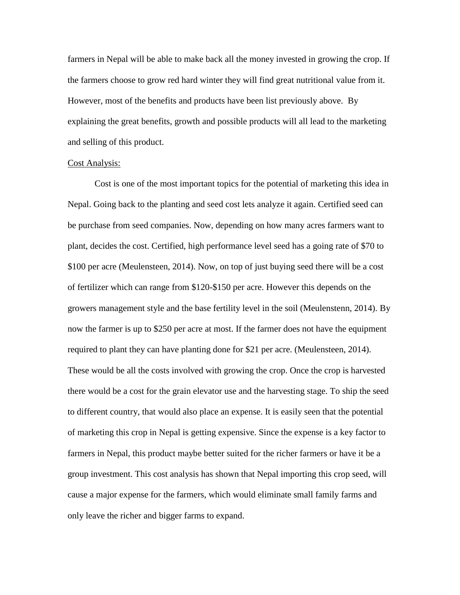farmers in Nepal will be able to make back all the money invested in growing the crop. If the farmers choose to grow red hard winter they will find great nutritional value from it. However, most of the benefits and products have been list previously above. By explaining the great benefits, growth and possible products will all lead to the marketing and selling of this product.

## Cost Analysis:

Cost is one of the most important topics for the potential of marketing this idea in Nepal. Going back to the planting and seed cost lets analyze it again. Certified seed can be purchase from seed companies. Now, depending on how many acres farmers want to plant, decides the cost. Certified, high performance level seed has a going rate of \$70 to \$100 per acre (Meulensteen, 2014). Now, on top of just buying seed there will be a cost of fertilizer which can range from \$120-\$150 per acre. However this depends on the growers management style and the base fertility level in the soil (Meulenstenn, 2014). By now the farmer is up to \$250 per acre at most. If the farmer does not have the equipment required to plant they can have planting done for \$21 per acre. (Meulensteen, 2014). These would be all the costs involved with growing the crop. Once the crop is harvested there would be a cost for the grain elevator use and the harvesting stage. To ship the seed to different country, that would also place an expense. It is easily seen that the potential of marketing this crop in Nepal is getting expensive. Since the expense is a key factor to farmers in Nepal, this product maybe better suited for the richer farmers or have it be a group investment. This cost analysis has shown that Nepal importing this crop seed, will cause a major expense for the farmers, which would eliminate small family farms and only leave the richer and bigger farms to expand.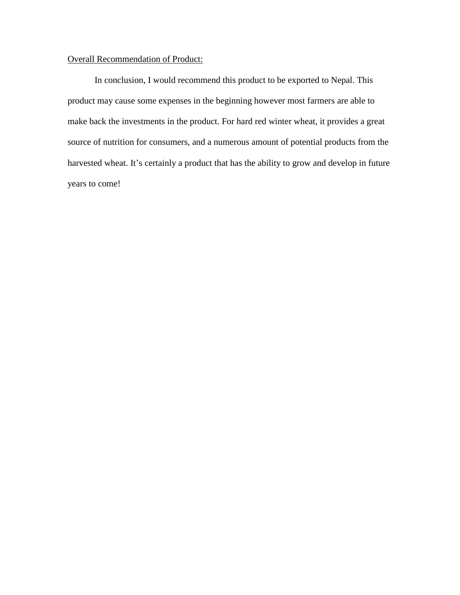# Overall Recommendation of Product:

In conclusion, I would recommend this product to be exported to Nepal. This product may cause some expenses in the beginning however most farmers are able to make back the investments in the product. For hard red winter wheat, it provides a great source of nutrition for consumers, and a numerous amount of potential products from the harvested wheat. It's certainly a product that has the ability to grow and develop in future years to come!